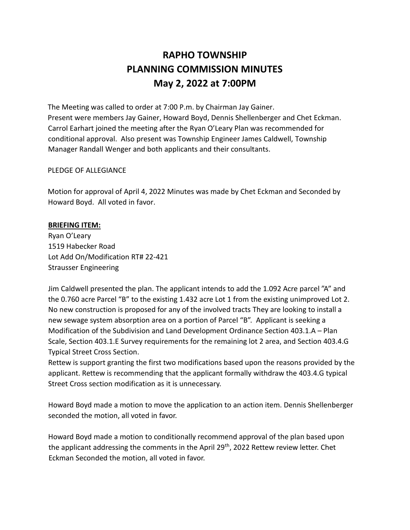# **RAPHO TOWNSHIP PLANNING COMMISSION MINUTES May 2, 2022 at 7:00PM**

The Meeting was called to order at 7:00 P.m. by Chairman Jay Gainer. Present were members Jay Gainer, Howard Boyd, Dennis Shellenberger and Chet Eckman. Carrol Earhart joined the meeting after the Ryan O'Leary Plan was recommended for conditional approval. Also present was Township Engineer James Caldwell, Township Manager Randall Wenger and both applicants and their consultants.

## PLEDGE OF ALLEGIANCE

Motion for approval of April 4, 2022 Minutes was made by Chet Eckman and Seconded by Howard Boyd. All voted in favor.

## **BRIEFING ITEM:**

Ryan O'Leary 1519 Habecker Road Lot Add On/Modification RT# 22-421 Strausser Engineering

Jim Caldwell presented the plan. The applicant intends to add the 1.092 Acre parcel "A" and the 0.760 acre Parcel "B" to the existing 1.432 acre Lot 1 from the existing unimproved Lot 2. No new construction is proposed for any of the involved tracts They are looking to install a new sewage system absorption area on a portion of Parcel "B". Applicant is seeking a Modification of the Subdivision and Land Development Ordinance Section 403.1.A – Plan Scale, Section 403.1.E Survey requirements for the remaining lot 2 area, and Section 403.4.G Typical Street Cross Section.

Rettew is support granting the first two modifications based upon the reasons provided by the applicant. Rettew is recommending that the applicant formally withdraw the 403.4.G typical Street Cross section modification as it is unnecessary.

Howard Boyd made a motion to move the application to an action item. Dennis Shellenberger seconded the motion, all voted in favor.

Howard Boyd made a motion to conditionally recommend approval of the plan based upon the applicant addressing the comments in the April 29<sup>th</sup>, 2022 Rettew review letter. Chet Eckman Seconded the motion, all voted in favor.